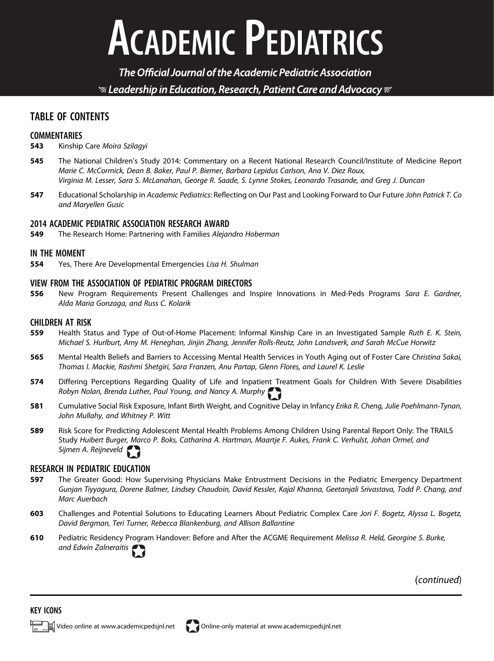# **ACADEMIC PEDIATRICS**

The Official Journal of the Academic Pediatric Association  $\mathcal G$  Leadership in Education, Research, Patient Care and Advocacy  $\mathcal C$ 

### TABLE OF CONTENTS

## COMMENTARIES<br>543 Kinship

- Kinship Care Moira Szilagyi
- 545 The National Children's Study 2014: Commentary on a Recent National Research Council/Institute of Medicine Report Marie C. McCormick, Dean B. Baker, Paul P. Biemer, Barbara Lepidus Carlson, Ana V. Diez Roux, Virginia M. Lesser, Sara S. McLanahan, George R. Saade, S. Lynne Stokes, Leonardo Trasande, and Greg J. Duncan
- 547 Educational Scholarship in Academic Pediatrics: Reflecting on Our Past and Looking Forward to Our Future John Patrick T. Co and Maryellen Gusic

## **2014 ACADEMIC PEDIATRIC ASSOCIATION RESEARCH AWARD**<br>**549** The Research Home: Partnering with Families Aleign

The Research Home: Partnering with Families Alejandro Hoberman

#### IN THE MOMENT

**554** Yes, There Are Developmental Emergencies Lisa H. Shulman

#### VIEW FROM THE ASSOCIATION OF PEDIATRIC PROGRAM DIRECTORS

556 New Program Requirements Present Challenges and Inspire Innovations in Med-Peds Programs Sara E. Gardner, Alda Maria Gonzaga, and Russ C. Kolarik

#### CHILDREN AT RISK

- 559 Health Status and Type of Out-of-Home Placement: Informal Kinship Care in an Investigated Sample Ruth E. K. Stein, Michael S. Hurlburt, Amy M. Heneghan, Jinjin Zhang, Jennifer Rolls-Reutz, John Landsverk, and Sarah McCue Horwitz
- 565 Mental Health Beliefs and Barriers to Accessing Mental Health Services in Youth Aging out of Foster Care Christina Sakai, Thomas I. Mackie, Rashmi Shetgiri, Sara Franzen, Anu Partap, Glenn Flores, and Laurel K. Leslie
- 574 Differing Perceptions Regarding Quality of Life and Inpatient Treatment Goals for Children With Severe Disabilities Robyn Nolan, Brenda Luther, Paul Young, and Nancy A. Murphy
- 581 Cumulative Social Risk Exposure, Infant Birth Weight, and Cognitive Delay in Infancy Erika R. Cheng, Julie Poehlmann-Tynan, John Mullahy, and Whitney P. Witt
- 589 Risk Score for Predicting Adolescent Mental Health Problems Among Children Using Parental Report Only: The TRAILS Study Huibert Burger, Marco P. Boks, Catharina A. Hartman, Maartje F. Aukes, Frank C. Verhulst, Johan Ormel, and Sijmen A. Reijneveld

#### RESEARCH IN PEDIATRIC EDUCATION

- 597 The Greater Good: How Supervising Physicians Make Entrustment Decisions in the Pediatric Emergency Department Gunjan Tiyyagura, Dorene Balmer, Lindsey Chaudoin, David Kessler, Kajal Khanna, Geetanjali Srivastava, Todd P. Chang, and Marc Auerbach
- 603 Challenges and Potential Solutions to Educating Learners About Pediatric Complex Care Jori F. Bogetz, Alyssa L. Bogetz, David Bergman, Teri Turner, Rebecca Blankenburg, and Allison Ballantine
- 610 Pediatric Residency Program Handover: Before and After the ACGME Requirement Melissa R. Held, Georgine S. Burke, and Edwin Zalneraitis

(continued)

#### KEY ICONS